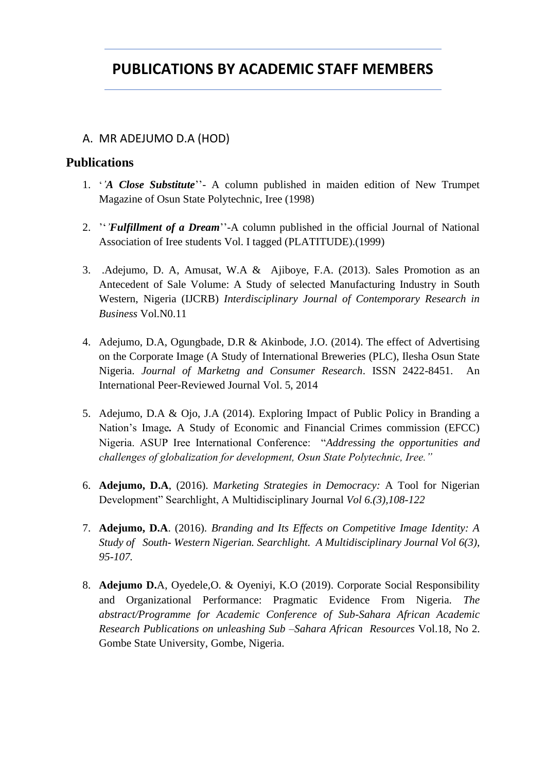# **PUBLICATIONS BY ACADEMIC STAFF MEMBERS**

## A. MR ADEJUMO D.A (HOD)

## **Publications**

- 1. '*'A Close Substitute*''- A column published in maiden edition of New Trumpet Magazine of Osun State Polytechnic, Iree (1998)
- 2. ''*'Fulfillment of a Dream*''-A column published in the official Journal of National Association of Iree students Vol. I tagged (PLATITUDE).(1999)
- 3. .Adejumo, D. A, Amusat, W.A & Ajiboye, F.A. (2013). Sales Promotion as an Antecedent of Sale Volume: A Study of selected Manufacturing Industry in South Western, Nigeria (IJCRB) *Interdisciplinary Journal of Contemporary Research in Business* Vol.N0.11
- 4. Adejumo, D.A, Ogungbade, D.R & Akinbode, J.O. (2014). The effect of Advertising on the Corporate Image (A Study of International Breweries (PLC), Ilesha Osun State Nigeria. *Journal of Marketng and Consumer Research*. ISSN 2422-8451. An International Peer-Reviewed Journal Vol. 5, 2014
- 5. Adejumo, D.A & Ojo, J.A (2014). Exploring Impact of Public Policy in Branding a Nation's Image*.* A Study of Economic and Financial Crimes commission (EFCC) Nigeria. ASUP Iree International Conference: "*Addressing the opportunities and challenges of globalization for development, Osun State Polytechnic, Iree."*
- 6. **Adejumo, D.A**, (2016). *Marketing Strategies in Democracy:* A Tool for Nigerian Development" Searchlight, A Multidisciplinary Journal *Vol 6.(3),108-122*
- 7. **Adejumo, D.A**. (2016). *Branding and Its Effects on Competitive Image Identity: A Study of South- Western Nigerian. Searchlight. A Multidisciplinary Journal Vol 6(3), 95-107.*
- 8. **Adejumo D.**A, Oyedele,O. & Oyeniyi, K.O (2019). Corporate Social Responsibility and Organizational Performance: Pragmatic Evidence From Nigeria. *The abstract/Programme for Academic Conference of Sub-Sahara African Academic Research Publications on unleashing Sub –Sahara African Resources* Vol.18, No 2. Gombe State University, Gombe, Nigeria.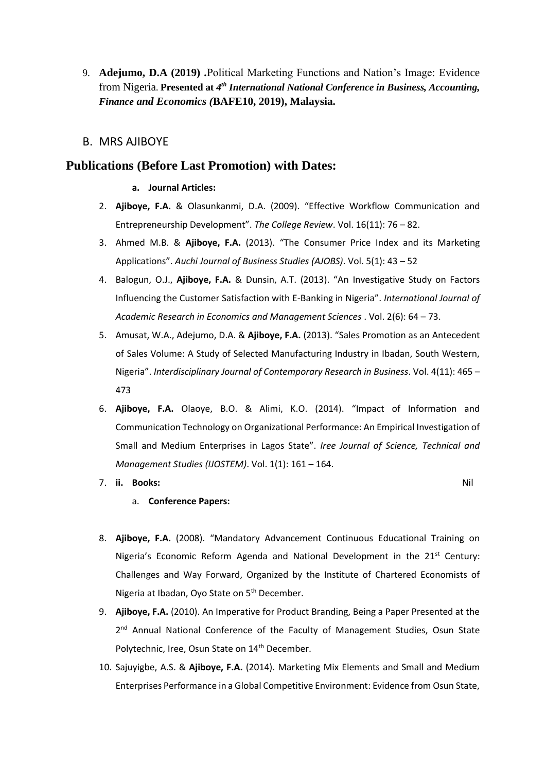9. **Adejumo, D.A (2019) .**Political Marketing Functions and Nation's Image: Evidence from Nigeria. Presented at 4<sup>th</sup> International National Conference in Business, Accounting, *Finance and Economics (***BAFE10, 2019), Malaysia.**

## B. MRS AJIBOYE

## **Publications (Before Last Promotion) with Dates:**

#### **a. Journal Articles:**

- 2. **Ajiboye, F.A.** & Olasunkanmi, D.A. (2009). "Effective Workflow Communication and Entrepreneurship Development". *The College Review*. Vol. 16(11): 76 – 82.
- 3. Ahmed M.B. & **Ajiboye, F.A.** (2013). "The Consumer Price Index and its Marketing Applications". *Auchi Journal of Business Studies (AJOBS)*. Vol. 5(1): 43 – 52
- 4. Balogun, O.J., **Ajiboye, F.A.** & Dunsin, A.T. (2013). "An Investigative Study on Factors Influencing the Customer Satisfaction with E-Banking in Nigeria". *International Journal of Academic Research in Economics and Management Sciences* . Vol. 2(6): 64 – 73.
- 5. Amusat, W.A., Adejumo, D.A. & **Ajiboye, F.A.** (2013). "Sales Promotion as an Antecedent of Sales Volume: A Study of Selected Manufacturing Industry in Ibadan, South Western, Nigeria". *Interdisciplinary Journal of Contemporary Research in Business*. Vol. 4(11): 465 – 473
- 6. **Ajiboye, F.A.** Olaoye, B.O. & Alimi, K.O. (2014). "Impact of Information and Communication Technology on Organizational Performance: An Empirical Investigation of Small and Medium Enterprises in Lagos State". *Iree Journal of Science, Technical and Management Studies (IJOSTEM)*. Vol. 1(1): 161 – 164.
- 7. **ii. Books:** Nil

- a. **Conference Papers:**
- 8. **Ajiboye, F.A.** (2008). "Mandatory Advancement Continuous Educational Training on Nigeria's Economic Reform Agenda and National Development in the 21<sup>st</sup> Century: Challenges and Way Forward, Organized by the Institute of Chartered Economists of Nigeria at Ibadan, Oyo State on 5<sup>th</sup> December.
- 9. **Ajiboye, F.A.** (2010). An Imperative for Product Branding, Being a Paper Presented at the 2<sup>nd</sup> Annual National Conference of the Faculty of Management Studies, Osun State Polytechnic, Iree, Osun State on 14<sup>th</sup> December.
- 10. Sajuyigbe, A.S. & **Ajiboye, F.A.** (2014). Marketing Mix Elements and Small and Medium Enterprises Performance in a Global Competitive Environment: Evidence from Osun State,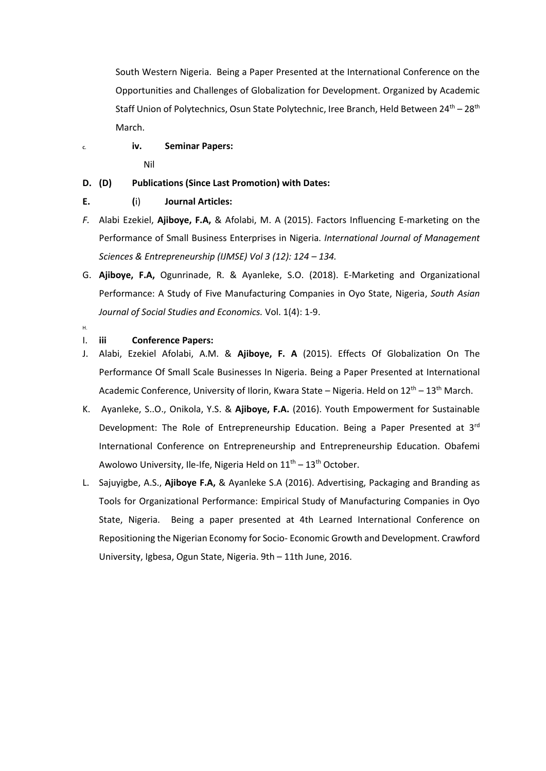South Western Nigeria. Being a Paper Presented at the International Conference on the Opportunities and Challenges of Globalization for Development. Organized by Academic Staff Union of Polytechnics, Osun State Polytechnic, Iree Branch, Held Between 24<sup>th</sup> – 28<sup>th</sup> March.

## **C. iv. Seminar Papers:** Nil

## **D. (D) Publications (Since Last Promotion) with Dates:**

- **E. (**i) **Journal Articles:**
- *F.* Alabi Ezekiel, **Ajiboye, F.A,** & Afolabi, M. A (2015). Factors Influencing E-marketing on the Performance of Small Business Enterprises in Nigeria. *International Journal of Management Sciences & Entrepreneurship (IJMSE) Vol 3 (12): 124 – 134.*
- G. **Ajiboye, F.A,** Ogunrinade, R. & Ayanleke, S.O. (2018). E-Marketing and Organizational Performance: A Study of Five Manufacturing Companies in Oyo State, Nigeria, *South Asian Journal of Social Studies and Economics.* Vol. 1(4): 1-9.
- H.

#### I. **iii Conference Papers:**

- J. Alabi, Ezekiel Afolabi, A.M. & **Ajiboye, F. A** (2015). Effects Of Globalization On The Performance Of Small Scale Businesses In Nigeria. Being a Paper Presented at International Academic Conference, University of Ilorin, Kwara State – Nigeria. Held on  $12<sup>th</sup> - 13<sup>th</sup>$  March.
- K. Ayanleke, S..O., Onikola, Y.S. & **Ajiboye, F.A.** (2016). Youth Empowerment for Sustainable Development: The Role of Entrepreneurship Education. Being a Paper Presented at 3rd International Conference on Entrepreneurship and Entrepreneurship Education. Obafemi Awolowo University, Ile-Ife, Nigeria Held on  $11<sup>th</sup> - 13<sup>th</sup>$  October.
- L. Sajuyigbe, A.S., **Ajiboye F.A,** & Ayanleke S.A (2016). Advertising, Packaging and Branding as Tools for Organizational Performance: Empirical Study of Manufacturing Companies in Oyo State, Nigeria. Being a paper presented at 4th Learned International Conference on Repositioning the Nigerian Economy for Socio- Economic Growth and Development. Crawford University, Igbesa, Ogun State, Nigeria. 9th – 11th June, 2016.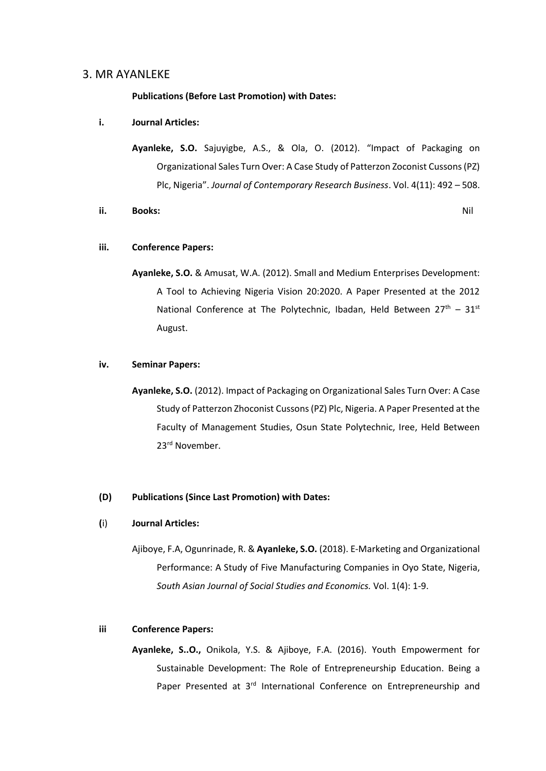#### 3. MR AYANLEKE

**Publications (Before Last Promotion) with Dates:** 

#### **i. Journal Articles:**

**Ayanleke, S.O.** Sajuyigbe, A.S., & Ola, O. (2012). "Impact of Packaging on Organizational Sales Turn Over: A Case Study of Patterzon Zoconist Cussons (PZ) Plc, Nigeria". *Journal of Contemporary Research Business*. Vol. 4(11): 492 – 508.

#### **ii. Books:** Nil

#### **iii. Conference Papers:**

**Ayanleke, S.O.** & Amusat, W.A. (2012). Small and Medium Enterprises Development: A Tool to Achieving Nigeria Vision 20:2020. A Paper Presented at the 2012 National Conference at The Polytechnic, Ibadan, Held Between  $27<sup>th</sup> - 31<sup>st</sup>$ August.

#### **iv. Seminar Papers:**

**Ayanleke, S.O.** (2012). Impact of Packaging on Organizational Sales Turn Over: A Case Study of Patterzon Zhoconist Cussons (PZ) Plc, Nigeria. A Paper Presented at the Faculty of Management Studies, Osun State Polytechnic, Iree, Held Between 23rd November.

#### **(D) Publications (Since Last Promotion) with Dates:**

#### **(**i) **Journal Articles:**

Ajiboye, F.A, Ogunrinade, R. & **Ayanleke, S.O.** (2018). E-Marketing and Organizational Performance: A Study of Five Manufacturing Companies in Oyo State, Nigeria, *South Asian Journal of Social Studies and Economics.* Vol. 1(4): 1-9.

#### **iii Conference Papers:**

**Ayanleke, S..O.,** Onikola, Y.S. & Ajiboye, F.A. (2016). Youth Empowerment for Sustainable Development: The Role of Entrepreneurship Education. Being a Paper Presented at 3<sup>rd</sup> International Conference on Entrepreneurship and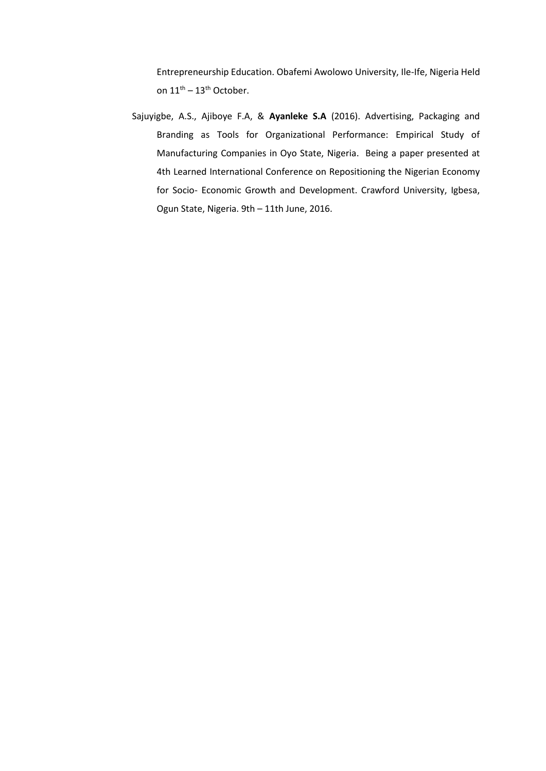Entrepreneurship Education. Obafemi Awolowo University, Ile-Ife, Nigeria Held on  $11^{\text{th}} - 13^{\text{th}}$  October.

Sajuyigbe, A.S., Ajiboye F.A, & **Ayanleke S.A** (2016). Advertising, Packaging and Branding as Tools for Organizational Performance: Empirical Study of Manufacturing Companies in Oyo State, Nigeria. Being a paper presented at 4th Learned International Conference on Repositioning the Nigerian Economy for Socio- Economic Growth and Development. Crawford University, Igbesa, Ogun State, Nigeria. 9th – 11th June, 2016.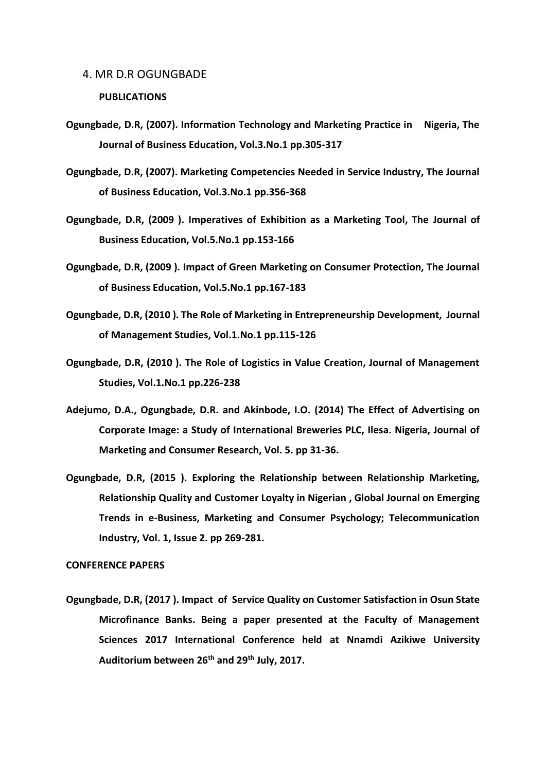#### 4. MR D.R OGUNGBADE

#### **PUBLICATIONS**

- **Ogungbade, D.R, (2007). Information Technology and Marketing Practice in Nigeria, The Journal of Business Education, Vol.3.No.1 pp.305-317**
- **Ogungbade, D.R, (2007). Marketing Competencies Needed in Service Industry, The Journal of Business Education, Vol.3.No.1 pp.356-368**
- **Ogungbade, D.R, (2009 ). Imperatives of Exhibition as a Marketing Tool, The Journal of Business Education, Vol.5.No.1 pp.153-166**
- **Ogungbade, D.R, (2009 ). Impact of Green Marketing on Consumer Protection, The Journal of Business Education, Vol.5.No.1 pp.167-183**
- **Ogungbade, D.R, (2010 ). The Role of Marketing in Entrepreneurship Development, Journal of Management Studies, Vol.1.No.1 pp.115-126**
- **Ogungbade, D.R, (2010 ). The Role of Logistics in Value Creation, Journal of Management Studies, Vol.1.No.1 pp.226-238**
- **Adejumo, D.A., Ogungbade, D.R. and Akinbode, I.O. (2014) The Effect of Advertising on Corporate Image: a Study of International Breweries PLC, Ilesa. Nigeria, Journal of Marketing and Consumer Research, Vol. 5. pp 31-36.**
- **Ogungbade, D.R, (2015 ). Exploring the Relationship between Relationship Marketing, Relationship Quality and Customer Loyalty in Nigerian , Global Journal on Emerging Trends in e-Business, Marketing and Consumer Psychology; Telecommunication Industry, Vol. 1, Issue 2. pp 269-281.**

#### **CONFERENCE PAPERS**

**Ogungbade, D.R, (2017 ). Impact of Service Quality on Customer Satisfaction in Osun State Microfinance Banks. Being a paper presented at the Faculty of Management Sciences 2017 International Conference held at Nnamdi Azikiwe University Auditorium between 26th and 29th July, 2017.**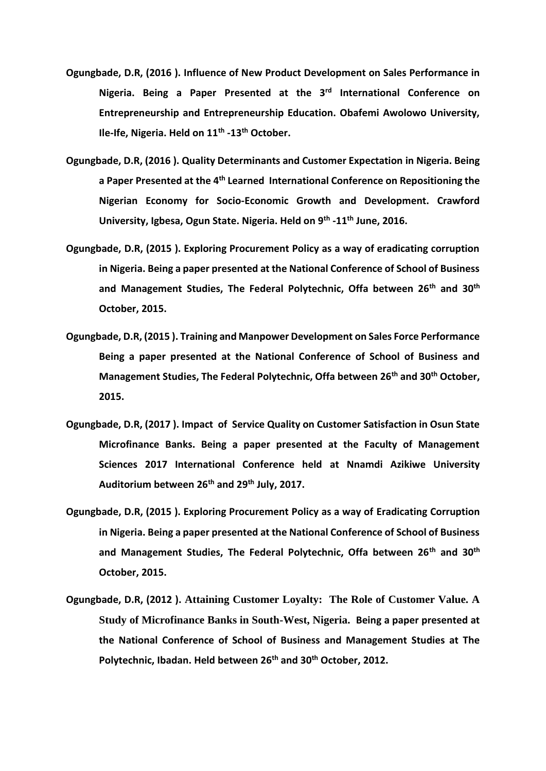- **Ogungbade, D.R, (2016 ). Influence of New Product Development on Sales Performance in**  Nigeria. Being a Paper Presented at the 3<sup>rd</sup> International Conference on **Entrepreneurship and Entrepreneurship Education. Obafemi Awolowo University, Ile-Ife, Nigeria. Held on 11th -13th October.**
- **Ogungbade, D.R, (2016 ). Quality Determinants and Customer Expectation in Nigeria. Being a Paper Presented at the 4 th Learned International Conference on Repositioning the Nigerian Economy for Socio-Economic Growth and Development. Crawford University, Igbesa, Ogun State. Nigeria. Held on 9th -11th June, 2016.**
- **Ogungbade, D.R, (2015 ). Exploring Procurement Policy as a way of eradicating corruption in Nigeria. Being a paper presented at the National Conference of School of Business and Management Studies, The Federal Polytechnic, Offa between 26th and 30th October, 2015.**
- **Ogungbade, D.R, (2015 ). Training and Manpower Development on Sales Force Performance Being a paper presented at the National Conference of School of Business and Management Studies, The Federal Polytechnic, Offa between 26th and 30th October, 2015.**
- **Ogungbade, D.R, (2017 ). Impact of Service Quality on Customer Satisfaction in Osun State Microfinance Banks. Being a paper presented at the Faculty of Management Sciences 2017 International Conference held at Nnamdi Azikiwe University Auditorium between 26th and 29th July, 2017.**
- **Ogungbade, D.R, (2015 ). Exploring Procurement Policy as a way of Eradicating Corruption in Nigeria. Being a paper presented at the National Conference of School of Business and Management Studies, The Federal Polytechnic, Offa between 26th and 30th October, 2015.**
- **Ogungbade, D.R, (2012 ). Attaining Customer Loyalty: The Role of Customer Value. A Study of Microfinance Banks in South-West, Nigeria. Being a paper presented at the National Conference of School of Business and Management Studies at The Polytechnic, Ibadan. Held between 26th and 30th October, 2012.**